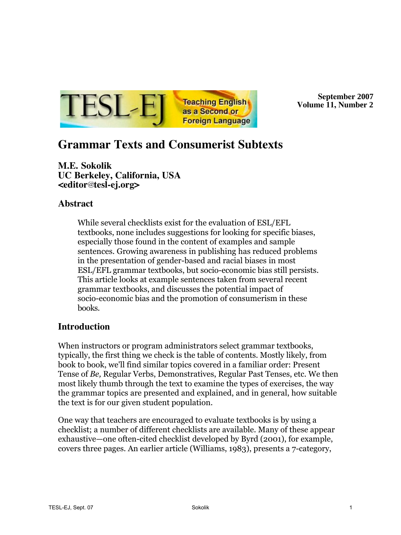

**September 2007 Volume 11, Number 22**

# **Grammar Texts and Consumerist Subtexts**

**M.E. Sokolik UC Berkeley, California, USA <editor tesl-ej.org>**

# **Abstract**

While several checklists exist for the evaluation of ESL/EFL textbooks, none includes suggestions for looking for specific biases, especially those found in the content of examples and sample sentences. Growing awareness in publishing has reduced problems in the presentation of gender-based and racial biases in most ESL/EFL grammar textbooks, but socio-economic bias still persists. This article looks at example sentences taken from several recent grammar textbooks, and discusses the potential impact of socio-economic bias and the promotion of consumerism in these books.

# **Introduction**

When instructors or program administrators select grammar textbooks, typically, the first thing we check is the table of contents. Mostly likely, from book to book, we'll find similar topics covered in a familiar order: Present Tense of *Be,* Regular Verbs, Demonstratives, Regular Past Tenses, etc. We then most likely thumb through the text to examine the types of exercises, the way the grammar topics are presented and explained, and in general, how suitable the text is for our given student population.

One way that teachers are encouraged to evaluate textbooks is by using a checklist; a number of different checklists are available. Many of these appear exhaustive—one often-cited checklist developed by Byrd (2001), for example, covers three pages. An earlier article (Williams, 1983), presents a 7-category,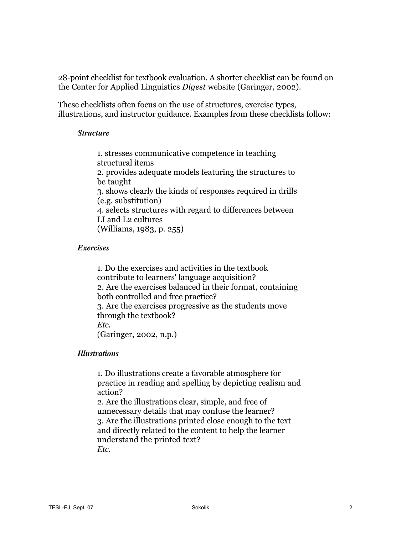28-point checklist for textbook evaluation. A shorter checklist can be found on the Center for Applied Linguistics *Digest* website (Garinger, 2002).

These checklists often focus on the use of structures, exercise types, illustrations, and instructor guidance. Examples from these checklists follow:

#### *Structure*

1. stresses communicative competence in teaching structural items 2. provides adequate models featuring the structures to be taught 3. shows clearly the kinds of responses required in drills (e.g. substitution) 4. selects structures with regard to differences between LI and L2 cultures (Williams, 1983, p. 255)

#### *Exercises*

1. Do the exercises and activities in the textbook contribute to learners' language acquisition? 2. Are the exercises balanced in their format, containing both controlled and free practice? 3. Are the exercises progressive as the students move through the textbook? *Etc.* (Garinger, 2002, n.p.)

#### *Illustrations*

1. Do illustrations create a favorable atmosphere for practice in reading and spelling by depicting realism and action?

2. Are the illustrations clear, simple, and free of unnecessary details that may confuse the learner? 3. Are the illustrations printed close enough to the text and directly related to the content to help the learner understand the printed text? *Etc.*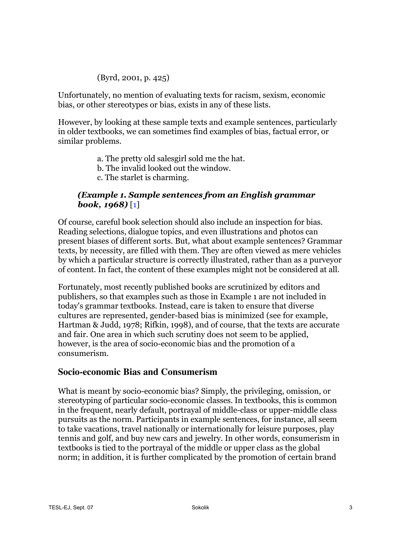## (Byrd, 2001, p. 425)

Unfortunately, no mention of evaluating texts for racism, sexism, economic bias, or other stereotypes or bias, exists in any of these lists.

However, by looking at these sample texts and example sentences, particularly in older textbooks, we can sometimes find examples of bias, factual error, or similar problems.

- a. The pretty old salesgirl sold me the hat.
- b. The invalid looked out the window.
- c. The starlet is charming.

## *(Example 1. Sample sentences from an English grammar book, 1968)* [1]

Of course, careful book selection should also include an inspection for bias. Reading selections, dialogue topics, and even illustrations and photos can present biases of different sorts. But, what about example sentences? Grammar texts, by necessity, are filled with them. They are often viewed as mere vehicles by which a particular structure is correctly illustrated, rather than as a purveyor of content. In fact, the content of these examples might not be considered at all.

Fortunately, most recently published books are scrutinized by editors and publishers, so that examples such as those in Example 1 are not included in today's grammar textbooks. Instead, care is taken to ensure that diverse cultures are represented, gender-based bias is minimized (see for example, Hartman & Judd, 1978; Rifkin, 1998), and of course, that the texts are accurate and fair. One area in which such scrutiny does not seem to be applied, however, is the area of socio-economic bias and the promotion of a consumerism.

# **Socio-economic Bias and Consumerism**

What is meant by socio-economic bias? Simply, the privileging, omission, or stereotyping of particular socio-economic classes. In textbooks, this is common in the frequent, nearly default, portrayal of middle-class or upper-middle class pursuits as the norm. Participants in example sentences, for instance, all seem to take vacations, travel nationally or internationally for leisure purposes, play tennis and golf, and buy new cars and jewelry. In other words, consumerism in textbooks is tied to the portrayal of the middle or upper class as the global norm; in addition, it is further complicated by the promotion of certain brand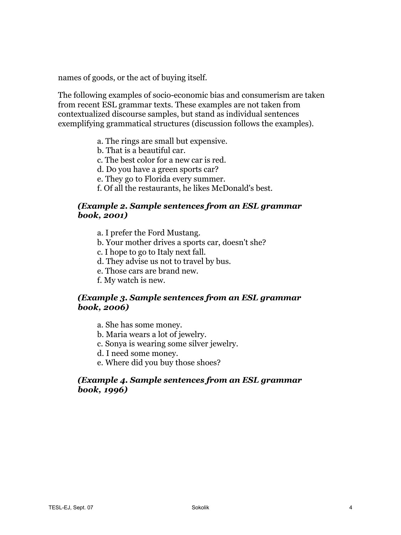names of goods, or the act of buying itself.

The following examples of socio-economic bias and consumerism are taken from recent ESL grammar texts. These examples are not taken from contextualized discourse samples, but stand as individual sentences exemplifying grammatical structures (discussion follows the examples).

- a. The rings are small but expensive.
- b. That is a beautiful car.
- c. The best color for a new car is red.
- d. Do you have a green sports car?
- e. They go to Florida every summer.
- f. Of all the restaurants, he likes McDonald's best.

## *(Example 2. Sample sentences from an ESL grammar book, 2001)*

- a. I prefer the Ford Mustang.
- b. Your mother drives a sports car, doesn't she?
- c. I hope to go to Italy next fall.
- d. They advise us not to travel by bus.
- e. Those cars are brand new.
- f. My watch is new.

## *(Example 3. Sample sentences from an ESL grammar book, 2006)*

- a. She has some money.
- b. Maria wears a lot of jewelry.
- c. Sonya is wearing some silver jewelry.
- d. I need some money.
- e. Where did you buy those shoes?

## *(Example 4. Sample sentences from an ESL grammar book, 1996)*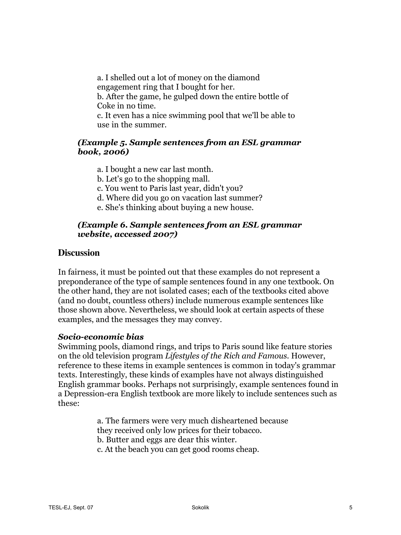a. I shelled out a lot of money on the diamond engagement ring that I bought for her. b. After the game, he gulped down the entire bottle of Coke in no time. c. It even has a nice swimming pool that we'll be able to use in the summer.

#### *(Example 5. Sample sentences from an ESL grammar book, 2006)*

- a. I bought a new car last month.
- b. Let's go to the shopping mall.
- c. You went to Paris last year, didn't you?
- d. Where did you go on vacation last summer?
- e. She's thinking about buying a new house.

## *(Example 6. Sample sentences from an ESL grammar website, accessed 2007)*

## **Discussion**

In fairness, it must be pointed out that these examples do not represent a preponderance of the type of sample sentences found in any one textbook. On the other hand, they are not isolated cases; each of the textbooks cited above (and no doubt, countless others) include numerous example sentences like those shown above. Nevertheless, we should look at certain aspects of these examples, and the messages they may convey.

#### *Socio-economic bias*

Swimming pools, diamond rings, and trips to Paris sound like feature stories on the old television program *Lifestyles of the Rich and Famous.* However, reference to these items in example sentences is common in today's grammar texts. Interestingly, these kinds of examples have not always distinguished English grammar books. Perhaps not surprisingly, example sentences found in a Depression-era English textbook are more likely to include sentences such as these:

> a. The farmers were very much disheartened because they received only low prices for their tobacco. b. Butter and eggs are dear this winter. c. At the beach you can get good rooms cheap.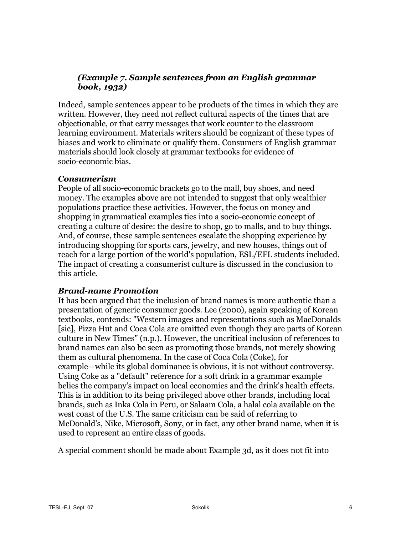# *(Example 7. Sample sentences from an English grammar book, 1932)*

Indeed, sample sentences appear to be products of the times in which they are written. However, they need not reflect cultural aspects of the times that are objectionable, or that carry messages that work counter to the classroom learning environment. Materials writers should be cognizant of these types of biases and work to eliminate or qualify them. Consumers of English grammar materials should look closely at grammar textbooks for evidence of socio-economic bias.

#### *Consumerism*

People of all socio-economic brackets go to the mall, buy shoes, and need money. The examples above are not intended to suggest that only wealthier populations practice these activities. However, the focus on money and shopping in grammatical examples ties into a socio-economic concept of creating a culture of desire: the desire to shop, go to malls, and to buy things. And, of course, these sample sentences escalate the shopping experience by introducing shopping for sports cars, jewelry, and new houses, things out of reach for a large portion of the world's population, ESL/EFL students included. The impact of creating a consumerist culture is discussed in the conclusion to this article.

## *Brand-name Promotion*

It has been argued that the inclusion of brand names is more authentic than a presentation of generic consumer goods. Lee (2000), again speaking of Korean textbooks, contends: "Western images and representations such as MacDonalds [sic], Pizza Hut and Coca Cola are omitted even though they are parts of Korean culture in New Times" (n.p.). However, the uncritical inclusion of references to brand names can also be seen as promoting those brands, not merely showing them as cultural phenomena. In the case of Coca Cola (Coke), for example—while its global dominance is obvious, it is not without controversy. Using Coke as a "default" reference for a soft drink in a grammar example belies the company's impact on local economies and the drink's health effects. This is in addition to its being privileged above other brands, including local brands, such as Inka Cola in Peru, or Salaam Cola, a halal cola available on the west coast of the U.S. The same criticism can be said of referring to McDonald's, Nike, Microsoft, Sony, or in fact, any other brand name, when it is used to represent an entire class of goods.

A special comment should be made about Example 3d, as it does not fit into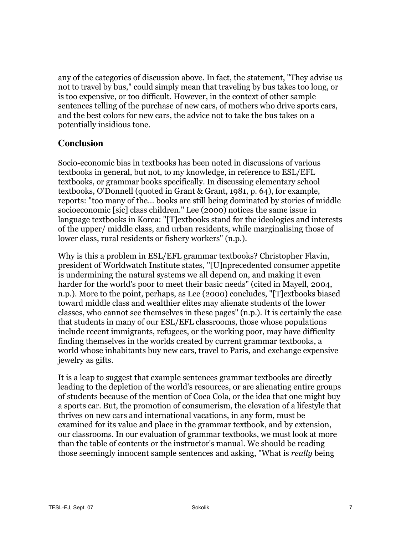any of the categories of discussion above. In fact, the statement, "They advise us not to travel by bus," could simply mean that traveling by bus takes too long, or is too expensive, or too difficult. However, in the context of other sample sentences telling of the purchase of new cars, of mothers who drive sports cars, and the best colors for new cars, the advice not to take the bus takes on a potentially insidious tone.

# **Conclusion**

Socio-economic bias in textbooks has been noted in discussions of various textbooks in general, but not, to my knowledge, in reference to ESL/EFL textbooks, or grammar books specifically. In discussing elementary school textbooks, O'Donnell (quoted in Grant & Grant, 1981, p. 64), for example, reports: "too many of the… books are still being dominated by stories of middle socioeconomic [sic] class children." Lee (2000) notices the same issue in language textbooks in Korea: "[T]extbooks stand for the ideologies and interests of the upper/ middle class, and urban residents, while marginalising those of lower class, rural residents or fishery workers" (n.p.).

Why is this a problem in ESL/EFL grammar textbooks? Christopher Flavin, president of Worldwatch Institute states, "[U]nprecedented consumer appetite is undermining the natural systems we all depend on, and making it even harder for the world's poor to meet their basic needs" (cited in Mayell, 2004, n.p.). More to the point, perhaps, as Lee (2000) concludes, "[T]extbooks biased toward middle class and wealthier elites may alienate students of the lower classes, who cannot see themselves in these pages" (n.p.). It is certainly the case that students in many of our ESL/EFL classrooms, those whose populations include recent immigrants, refugees, or the working poor, may have difficulty finding themselves in the worlds created by current grammar textbooks, a world whose inhabitants buy new cars, travel to Paris, and exchange expensive jewelry as gifts.

It is a leap to suggest that example sentences grammar textbooks are directly leading to the depletion of the world's resources, or are alienating entire groups of students because of the mention of Coca Cola, or the idea that one might buy a sports car. But, the promotion of consumerism, the elevation of a lifestyle that thrives on new cars and international vacations, in any form, must be examined for its value and place in the grammar textbook, and by extension, our classrooms. In our evaluation of grammar textbooks, we must look at more than the table of contents or the instructor's manual. We should be reading those seemingly innocent sample sentences and asking, "What is *really* being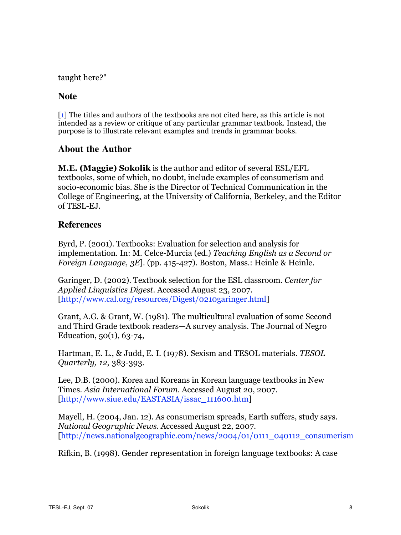taught here?"

## **Note**

[1] The titles and authors of the textbooks are not cited here, as this article is not intended as a review or critique of any particular grammar textbook. Instead, the purpose is to illustrate relevant examples and trends in grammar books.

## **About the Author**

**M.E. (Maggie) Sokolik** is the author and editor of several ESL/EFL textbooks, some of which, no doubt, include examples of consumerism and socio-economic bias. She is the Director of Technical Communication in the College of Engineering, at the University of California, Berkeley, and the Editor of TESL-EJ.

## **References**

Byrd, P. (2001). Textbooks: Evaluation for selection and analysis for implementation. In: M. Celce-Murcia (ed.) *Teaching English as a Second or Foreign Language, 3E*]. (pp. 415-427). Boston, Mass.: Heinle & Heinle.

Garinger, D. (2002). Textbook selection for the ESL classroom. *Center for Applied Linguistics Digest*. Accessed August 23, 2007. [http://www.cal.org/resources/Digest/0210garinger.html]

Grant, A.G. & Grant, W. (1981). The multicultural evaluation of some Second and Third Grade textbook readers—A survey analysis. The Journal of Negro Education, 50(1), 63-74,

Hartman, E. L., & Judd, E. I. (1978). Sexism and TESOL materials. *TESOL Quarterly, 12*, 383-393.

Lee, D.B. (2000). Korea and Koreans in Korean language textbooks in New Times. *Asia International Forum.* Accessed August 20, 2007. [http://www.siue.edu/EASTASIA/issac\_111600.htm]

Mayell, H. (2004, Jan. 12). As consumerism spreads, Earth suffers, study says. *National Geographic News.* Accessed August 22, 2007.  $[http://news.nationalgeographic.com/news/2004/01/0111-040112]$  consumerism.

Rifkin, B. (1998). Gender representation in foreign language textbooks: A case